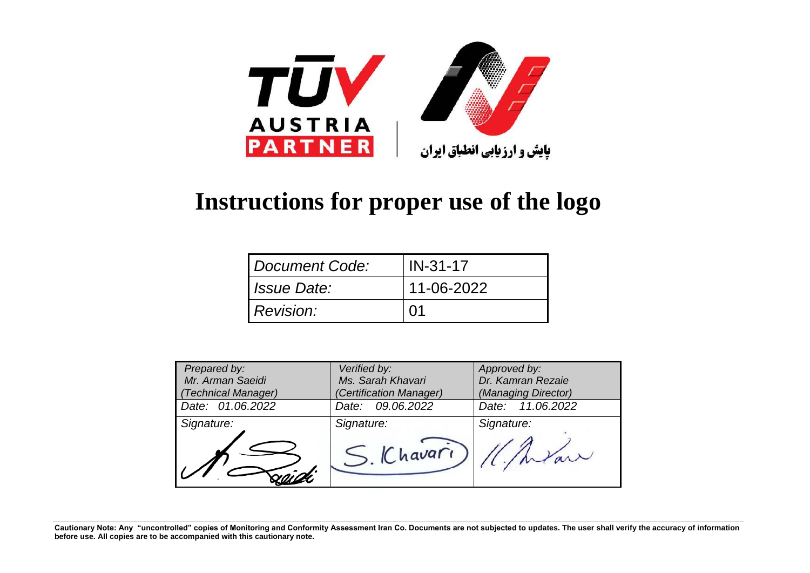

## **Instructions for proper use of the logo**

| <i><b>I Document Code:</b></i> | $IN-31-17$ |
|--------------------------------|------------|
| <i>I Issue Date:</i>           | 11-06-2022 |
| <i>Revision:</i>               | <u>Ω1</u>  |

| Prepared by:<br>Mr. Arman Saeidi<br>(Technical Manager) | Verified by:<br>Ms. Sarah Khavari<br>(Certification Manager) | Approved by:<br>Dr. Kamran Rezaie<br>(Managing Director) |
|---------------------------------------------------------|--------------------------------------------------------------|----------------------------------------------------------|
| Date: 01.06.2022                                        | Date: 09.06.2022                                             | Date: 11.06.2022                                         |
| Signature:                                              | Signature:<br>Chavari                                        | Signature:                                               |

**Cautionary Note: Any "uncontrolled" copies of Monitoring and Conformity Assessment Iran Co. Documents are not subjected to updates. The user shall verify the accuracy of information before use. All copies are to be accompanied with this cautionary note.**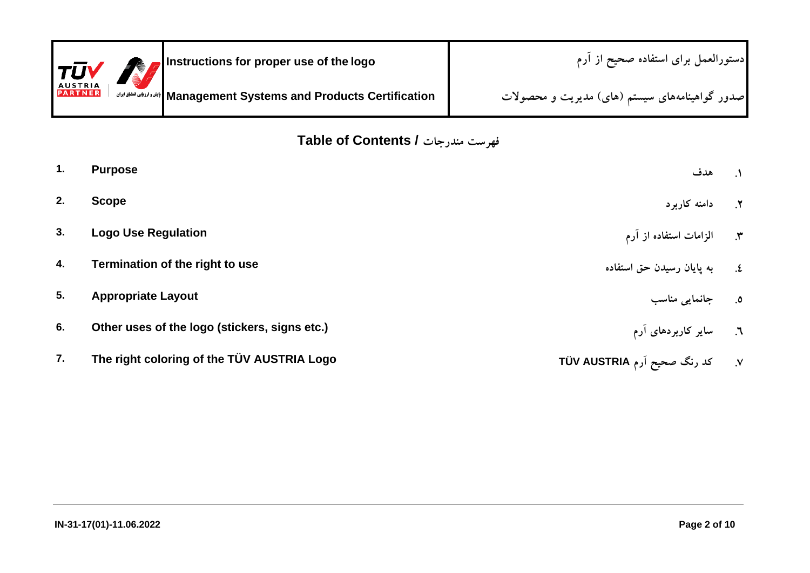| $ \tau\bar{\sigma}\mathsf{V} $   | Instructions for proper use of the logo                                 | [دستورالعمل براي استفاده صحيح از آرم           |
|----------------------------------|-------------------------------------------------------------------------|------------------------------------------------|
| <b>AUSTRIA</b><br><b>PARTNER</b> | Management Systems and Products Certification   ابثروارزابي الطلق ايران | صدور گواهینامههای سیستم (های) مدیریت و محصولات |

**Table of Contents / مندرجات فهرست**

| $\mathbf{1}$ . | <b>Purpose</b>                                | هدف                                | $\Lambda$ |
|----------------|-----------------------------------------------|------------------------------------|-----------|
| 2.             | <b>Scope</b>                                  | ۲. دامنه کاربرد                    |           |
| 3.             | <b>Logo Use Regulation</b>                    | ۴. الزامات استفاده از آرم          |           |
| 4.             | Termination of the right to use               | ٤.       به يايان رسيدن حق استفاده |           |
| 5.             | <b>Appropriate Layout</b>                     | ٥. جانمايي مناسب                   |           |
| 6.             | Other uses of the logo (stickers, signs etc.) | ٦. سایر کاربردهای آرم              |           |
| 7.             | The right coloring of the TÜV AUSTRIA Logo    | ۷. کد رنگ صحیح آرم TÜV AUSTRIA     |           |
|                |                                               |                                    |           |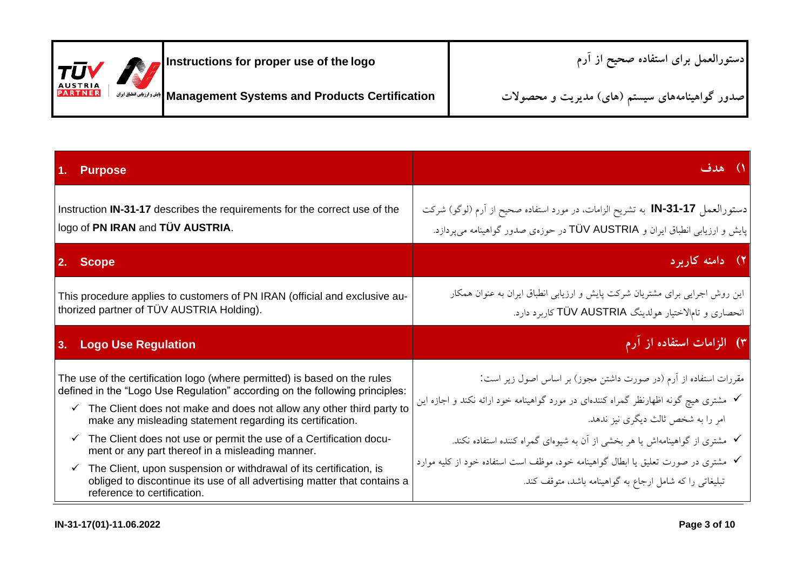| $  \tau \bar{\sigma}$ V          | Instructions for proper use of the logo                                    | دستورالعمل براى استفاده صحيح از أرم            |
|----------------------------------|----------------------------------------------------------------------------|------------------------------------------------|
| <b>AUSTRIA</b><br><b>PARTNER</b> | Management Systems and Products Certification   الجندد ارزالي الطلبق ايران | صدور گواهینامههای سیستم (های) مدیریت و محصولات |

| <b>Purpose</b>                                                                                                                                                                                                                                                                                                                                                                                                                                                                                                                                                                                                                           | ١) هدف                                                                                                                                                                                                                                                                                                                                                                                                                       |
|------------------------------------------------------------------------------------------------------------------------------------------------------------------------------------------------------------------------------------------------------------------------------------------------------------------------------------------------------------------------------------------------------------------------------------------------------------------------------------------------------------------------------------------------------------------------------------------------------------------------------------------|------------------------------------------------------------------------------------------------------------------------------------------------------------------------------------------------------------------------------------------------------------------------------------------------------------------------------------------------------------------------------------------------------------------------------|
| Instruction IN-31-17 describes the requirements for the correct use of the<br>logo of PN IRAN and TÜV AUSTRIA.                                                                                                                                                                                                                                                                                                                                                                                                                                                                                                                           | دستورالعمل IN-31-17 به تشريح الزامات، در مورد استفاده صحيح از آرم (لوگو) شركت<br>پایش و ارزیابی انطباق ایران و TÜV AUSTRIA در حوزهی صدور گواهینامه میپردازد.                                                                                                                                                                                                                                                                 |
| 2. Scope                                                                                                                                                                                                                                                                                                                                                                                                                                                                                                                                                                                                                                 | ۲) دامنه کاربرد                                                                                                                                                                                                                                                                                                                                                                                                              |
| This procedure applies to customers of PN IRAN (official and exclusive au-<br>thorized partner of TÜV AUSTRIA Holding).                                                                                                                                                                                                                                                                                                                                                                                                                                                                                                                  | این روش اجرایی برای مشتریان شرکت پایش و ارزیابی انطباق ایران به عنوان همکار<br>انحصاری و تامالاختیار هولدینگ TÜV AUSTRIA کاربرد دارد.                                                                                                                                                                                                                                                                                        |
| 3. Logo Use Regulation                                                                                                                                                                                                                                                                                                                                                                                                                                                                                                                                                                                                                   | ۳) الزامات استفاده از آرم                                                                                                                                                                                                                                                                                                                                                                                                    |
| The use of the certification logo (where permitted) is based on the rules<br>defined in the "Logo Use Regulation" according on the following principles:<br>$\checkmark$ The Client does not make and does not allow any other third party to<br>make any misleading statement regarding its certification.<br>The Client does not use or permit the use of a Certification docu-<br>✓<br>ment or any part thereof in a misleading manner.<br>$\checkmark$ The Client, upon suspension or withdrawal of its certification, is<br>obliged to discontinue its use of all advertising matter that contains a<br>reference to certification. | مقررات استفاده از آرم (در صورت داشتن مجوز) بر اساس اصول زیر است:<br>√ مشتری هیچ گونه اظهارنظر گمراه کنندهای در مورد گواهینامه خود ارائه نکند و اجازه این<br>امر را به شخص ثالث دیگری نیز ندهد.<br>✔ مشتری از گواهینامهاش یا هر بخشی از آن به شیوهای گمراه کننده استفاده نکند.<br>√ مشتری در صورت تعلیق یا ابطال گواهینامه خود، موظف است استفاده خود از کلیه موارد<br>تبلیغاتی را که شامل ارجاع به گواهینامه باشد، متوقف کند. |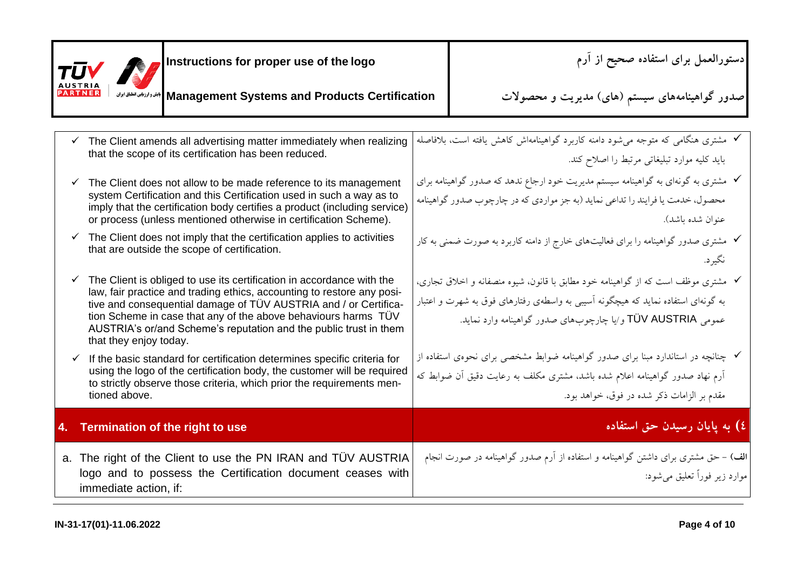| Instructions for proper use of the logo<br>TUV 1<br>AUSTRIA<br><b>PARTNER</b><br>Management Systems and Products Certification   بابقدوارزبابى الطباق الوان                                                                                                                                                                                                                                                                                                                                                    | دستورالعمل برای استفاده صحیح از آرم<br>صدور گواهینامههای سیستم (های) مدیریت و محصولات                                                                                                                                                                                                                                               |
|----------------------------------------------------------------------------------------------------------------------------------------------------------------------------------------------------------------------------------------------------------------------------------------------------------------------------------------------------------------------------------------------------------------------------------------------------------------------------------------------------------------|-------------------------------------------------------------------------------------------------------------------------------------------------------------------------------------------------------------------------------------------------------------------------------------------------------------------------------------|
| $\checkmark$ The Client amends all advertising matter immediately when realizing<br>that the scope of its certification has been reduced.<br>$\checkmark$ The Client does not allow to be made reference to its management<br>system Certification and this Certification used in such a way as to<br>imply that the certification body certifies a product (including service)<br>or process (unless mentioned otherwise in certification Scheme).                                                            | ✔ مشتری هنگامی که متوجه میشود دامنه کاربرد گواهینامهاش کاهش یافته است، بلافاصله<br>باید کلیه موارد تبلیغاتی مرتبط را اصلاح کند.<br>√ مشتری به گونهای به گواهینامه سیستم مدیریت خود ارجاع ندهد که صدور گواهینامه برای<br>محصول، خدمت یا فرایند را تداعی نماید (به جز مواردی که در چارچوب صدور گواهینامه<br>عنوان شده باشد).          |
| $\checkmark$ The Client does not imply that the certification applies to activities<br>that are outside the scope of certification.<br>$\checkmark$ The Client is obliged to use its certification in accordance with the<br>law, fair practice and trading ethics, accounting to restore any posi-<br>tive and consequential damage of TÜV AUSTRIA and / or Certifica-<br>tion Scheme in case that any of the above behaviours harms TÜV<br>AUSTRIA's or/and Scheme's reputation and the public trust in them | √ مشتری صدور گواهینامه را برای فعالیتهای خارج از دامنه کاربرد به صورت ضمنی به کار<br>نگيرد.<br>√ مشتری موظف است که از گواهینامه خود مطابق با قانون، شیوه منصفانه و اخلاق تجاری،<br>به گونهای استفاده نماید که هیچگونه آسیبی به واسطهی رفتارهای فوق به شهرت و اعتبار<br>عمومی TÜV AUSTRIA و ⁄یا چارچوبهای صدور گواهینامه وارد نماید. |
| that they enjoy today.<br>$\checkmark$ If the basic standard for certification determines specific criteria for<br>using the logo of the certification body, the customer will be required<br>to strictly observe those criteria, which prior the requirements men-<br>tioned above.                                                                                                                                                                                                                           | ∕ چنانچه در استاندارد مبنا برای صدور گواهینامه ضوابط مشخصی برای نحوهی استفاده از<br>آرم نهاد صدور گواهینامه اعلام شده باشد، مشتری مکلف به رعایت دقیق آن ضوابط که<br>مقدم بر الزامات ذکر شده در فوق، خواهد بود.                                                                                                                      |
| 4. Termination of the right to use                                                                                                                                                                                                                                                                                                                                                                                                                                                                             | ٤) به پایان رسیدن حق استفاده                                                                                                                                                                                                                                                                                                        |
| a. The right of the Client to use the PN IRAN and TUV AUSTRIA<br>logo and to possess the Certification document ceases with<br>immediate action, if:                                                                                                                                                                                                                                                                                                                                                           | الف) – حق مشتری برای داشتن گواهینامه و استفاده از آرم صدور گواهینامه در صورت انجام<br>موارد زير فوراً تعليق مي شود:                                                                                                                                                                                                                 |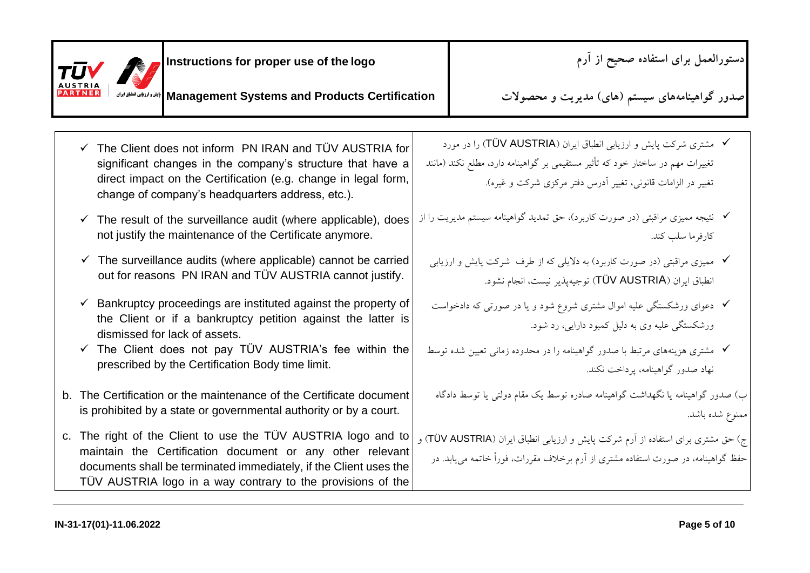| Instructions for proper use of the logo<br>TUV                                                                                                                                                                                                                 | دستورالعمل برای استفاده صحیح از آرم                                                                                                                                                                                        |
|----------------------------------------------------------------------------------------------------------------------------------------------------------------------------------------------------------------------------------------------------------------|----------------------------------------------------------------------------------------------------------------------------------------------------------------------------------------------------------------------------|
| Management Systems and Products Certification   ابين وارزبابي انطباق ايران                                                                                                                                                                                     | صدور گواهینامههای سیستم (های) مدیریت و محصولات                                                                                                                                                                             |
| $\checkmark$ The Client does not inform PN IRAN and TUV AUSTRIA for<br>significant changes in the company's structure that have a<br>direct impact on the Certification (e.g. change in legal form,<br>change of company's headquarters address, etc.).        | <b>√</b> مشتری شرکت پایش و ارزیابی انطباق ایران (TÜV AUSTRIA) را در مورد<br>تغییرات مهم در ساختار خود که تأثیر مستقیمی بر گواهینامه دارد، مطلع نکند (مانند<br>تغییر در الزامات قانونی، تغییر أدرس دفتر مرکزی شرکت و غیره). |
| $\checkmark$ The result of the surveillance audit (where applicable), does<br>not justify the maintenance of the Certificate anymore.                                                                                                                          | ✔ نتیجه ممیزی مراقبتی (در صورت کاربرد)، حق تمدید گواهینامه سیستم مدیریت را از<br>كارفرما سلب كند.                                                                                                                          |
| $\checkmark$ The surveillance audits (where applicable) cannot be carried<br>out for reasons PN IRAN and TÜV AUSTRIA cannot justify.                                                                                                                           | ✔ مممیزی مراقبتی (در صورت کاربرد) به دلایلی که از طرف ً شرکت پایش و ارزیابی<br>انطباق ایران (TÜV AUSTRIA) توجیهپذیر نیست، انجام نشود.                                                                                      |
| $\checkmark$ Bankruptcy proceedings are instituted against the property of<br>the Client or if a bankruptcy petition against the latter is<br>dismissed for lack of assets.                                                                                    | √ دعوای ورشکستگی علیه اموال مشتری شروع شود و یا در صورتی که دادخواست<br>ورشکستگی علیه وی به دلیل کمبود دارایی، رد شود.                                                                                                     |
| $\checkmark$ The Client does not pay TÜV AUSTRIA's fee within the<br>prescribed by the Certification Body time limit.                                                                                                                                          | ✔ مشتری هزینههای مرتبط با صدور گواهینامه را در محدوده زمانی تعیین شده توسط<br>نهاد صدور گواهینامه، پرداخت نکند.                                                                                                            |
| b. The Certification or the maintenance of the Certificate document<br>is prohibited by a state or governmental authority or by a court.                                                                                                                       | ب) صدور گواهینامه یا نگهداشت گواهینامه صادره توسط یک مقام دولتی یا توسط دادگاه<br>ممنوع شده باشد.                                                                                                                          |
| c. The right of the Client to use the TUV AUSTRIA logo and to<br>maintain the Certification document or any other relevant<br>documents shall be terminated immediately, if the Client uses the<br>TÜV AUSTRIA logo in a way contrary to the provisions of the | ج) حق مشتری برای استفاده از آرم شرکت پایش و ارزیابی انطباق ایران (TÜV AUSTRIA) و<br>حفظ گواهینامه، در صورت استفاده مشتری از آرم برخلاف مقررات، فوراً خاتمه مییابد. در                                                      |
| IN-31-17(01)-11.06.2022                                                                                                                                                                                                                                        | Page 5 of 10                                                                                                                                                                                                               |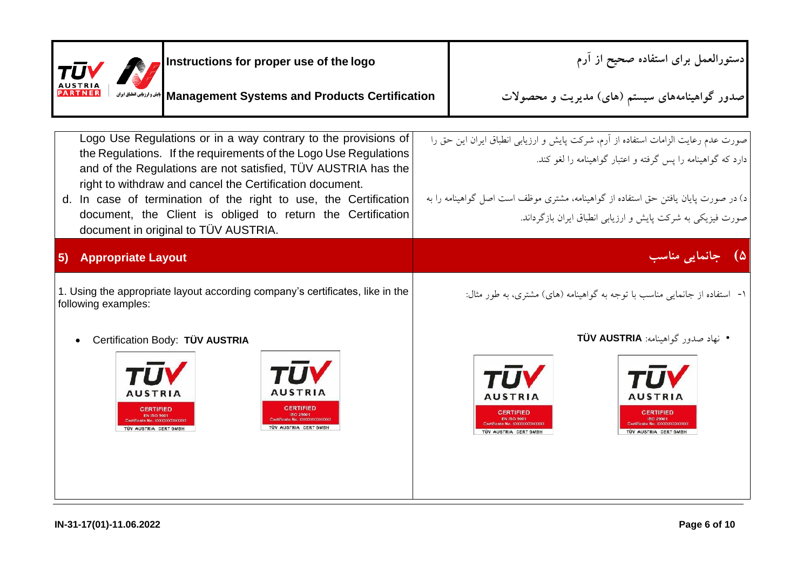| Instructions for proper use of the logo<br>TU                                                                                                                                                                                                                                                                                                                                                                                              | دستورالعمل براى استفاده صحيح از آرم                                                                                                                                                                                                                                                                   |
|--------------------------------------------------------------------------------------------------------------------------------------------------------------------------------------------------------------------------------------------------------------------------------------------------------------------------------------------------------------------------------------------------------------------------------------------|-------------------------------------------------------------------------------------------------------------------------------------------------------------------------------------------------------------------------------------------------------------------------------------------------------|
| PARTNER<br><b>  بایش و ارزیابی انطباق ایران</b><br><b>Management Systems and Products Certification</b>                                                                                                                                                                                                                                                                                                                                    | صدور گواهینامههای سیستم (های) مدیریت و محصولات                                                                                                                                                                                                                                                        |
| Logo Use Regulations or in a way contrary to the provisions of<br>the Regulations. If the requirements of the Logo Use Regulations<br>and of the Regulations are not satisfied, TÜV AUSTRIA has the<br>right to withdraw and cancel the Certification document.<br>d. In case of termination of the right to use, the Certification<br>document, the Client is obliged to return the Certification<br>document in original to TÜV AUSTRIA. | صورت عدم رعایت الزامات استفاده از آرم، شرکت پایش و ارزیابی انطباق ایران این حق را<br>دارد که گواهینامه را پس گرفته و اعتبار گواهینامه را لغو کند.<br>د) در صورت پایان یافتن حق استفاده از گواهینامه، مشتری موظف است اصل گواهینامه را به<br>صورت فیزیکی به شرکت پایش و ارزیابی انطباق ایران بازگرداند. |
| <b>Appropriate Layout</b><br>5)<br>1. Using the appropriate layout according company's certificates, like in the<br>following examples:                                                                                                                                                                                                                                                                                                    | ۵) جانمایی مناسب<br>۱- استفاده از جانمایی مناسب با توجه به گواهینامه (های) مشتری، به طور مثال:                                                                                                                                                                                                        |
| Certification Body: TÜV AUSTRIA<br><b>AUSTRIA</b><br>AUSTRIA<br><b>CERTIFIED</b><br><b>CERTIFIED</b><br>TÜV AUSTRIA CERT GMBH<br><b>TÜV AUSTRIA CERT GMBH</b>                                                                                                                                                                                                                                                                              | • نهاد صدور گواهینامه: TÜV AUSTRIA<br><b>AUSTRIA</b><br>AUSTRIA<br><b>CERTIFIED</b><br><b>CERTIFIED</b><br><b>SO 29001</b><br>TÜV AUSTRIA CERT GMBH<br>TÜV AUSTRIA CERT GMBH                                                                                                                          |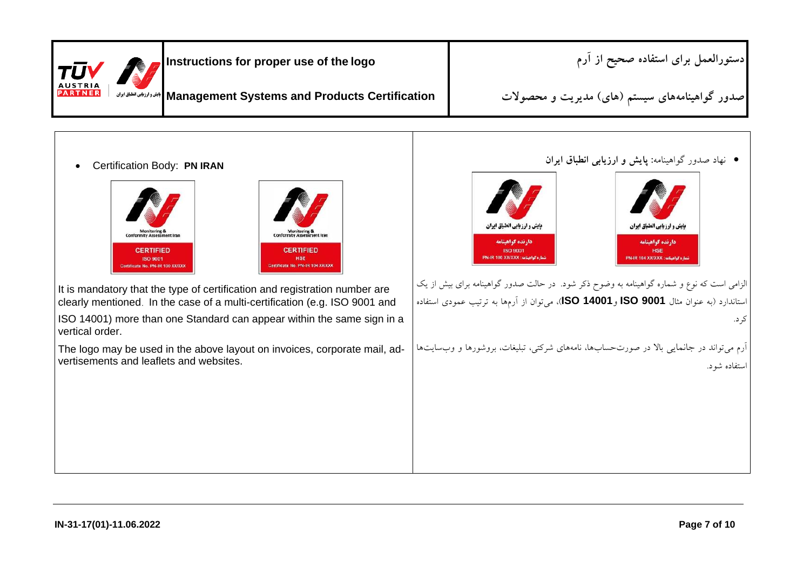| $ T\bar{U}V$                     | Instructions for proper use of the logo                                    | [دستورالعمل براي استفاده صحيح از آرم           |
|----------------------------------|----------------------------------------------------------------------------|------------------------------------------------|
| <b>AUSTRIA</b><br><b>PARTNER</b> | Management Systems and Products Certification   الجندوارزيابى الطلبق ايران | صدور گواهینامههای سیستم (های) مدیریت و محصولات |
|                                  |                                                                            |                                                |

Certification Body: **PN IRAN**



It is mandatory that the type of certification and registration number are clearly mentioned. In the case of a multi-certification (e.g. ISO 9001 and

ISO 14001) more than one Standard can appear within the same sign in a vertical order.

The logo may be used in the above layout on invoices, corporate mail, advertisements and leaflets and websites.

نهاد صدور گواهینامه**: پایش و ارزیابی انطباق ایران**



الزامی است که نوع و شماره گواهینامه به وضوح ذکر شود. در حالت صدور گواهینامه برای بیش از یک استاندارد )به عنوان مثال **9001 ISO** و**14001 ISO**)، میتوان از آرمها به ترتیب عمودی استفاده کرد.

آرم میتواند در جانمایی باال در صورتحسابها، نامههای شرکتی، تبلیغات، بروشورها و وبسایتها استفاده شود.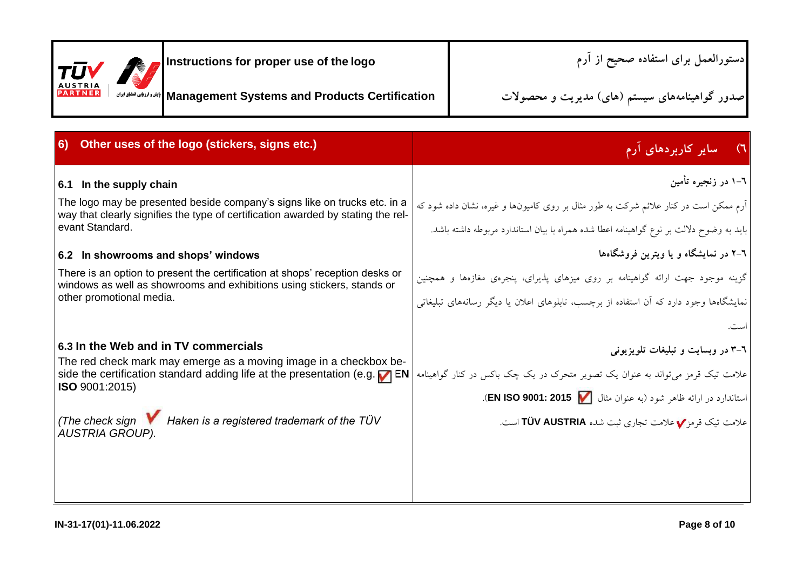| $ {\tau\bar{\sigma}}\mathsf{V} $ | Instructions for proper use of the logo                                     | ادستورالعمل برای استفاده صحیح از آرم           |
|----------------------------------|-----------------------------------------------------------------------------|------------------------------------------------|
| <b>AUSTRIA</b><br><b>PARTNER</b> | Management Systems and Products Certification   الجدد المزاناني الطلق ايران | صدور گواهینامههای سیستم (های) مدیریت و محصولات |

| 6) Other uses of the logo (stickers, signs etc.)                                                                                                                                                                                | ٦) مسایر کاربردهای آرم                                                                                                                                                          |
|---------------------------------------------------------------------------------------------------------------------------------------------------------------------------------------------------------------------------------|---------------------------------------------------------------------------------------------------------------------------------------------------------------------------------|
| 6.1 In the supply chain                                                                                                                                                                                                         | ٦–١ در زنجيره تأمين                                                                                                                                                             |
| The logo may be presented beside company's signs like on trucks etc. in a<br>way that clearly signifies the type of certification awarded by stating the rel-<br>evant Standard.                                                | ارم ممکن است در کنار علائم شرکت به طور مثال بر روی کامیونها و غیره، نشان داده شود که<br>باید به وضوح دلالت بر نوع گواهینامه اعطا شده همراه با بیان استاندارد مربوطه داشته باشد. |
| 6.2 In showrooms and shops' windows                                                                                                                                                                                             | ۲–۲ در نمایشگاه و یا ویترین فروشگاهها                                                                                                                                           |
| There is an option to present the certification at shops' reception desks or<br>windows as well as showrooms and exhibitions using stickers, stands or                                                                          | گزینه موجود جهت ارائه گواهینامه بر روی میزهای پذیرای، پنجرهی مغازهها و همچنین                                                                                                   |
| other promotional media.                                                                                                                                                                                                        | نمایشگاهها وجود دارد که آن استفاده از برچسب، تابلوهای اعلان یا دیگر رسانههای تبلیغاتی                                                                                           |
|                                                                                                                                                                                                                                 |                                                                                                                                                                                 |
| 6.3 In the Web and in TV commercials                                                                                                                                                                                            | ٦-٣ در وبسايت و تبليغات تلويزيوني                                                                                                                                               |
| The red check mark may emerge as a moving image in a checkbox be-<br>علامت تیک قرمز میتواند به عنوان یک تصویر متحرک در یک چک باکس در کنار گواهینامه  side the certification standard adding life at the presentation (e.g. T EN |                                                                                                                                                                                 |
| <b>ISO</b> 9001:2015)                                                                                                                                                                                                           | استاندارد در ارائه ظاهر شود (به عنوان مثال EN ISO 9001: 2015                                                                                                                    |
| (The check sign <b>V</b> Haken is a registered trademark of the TÜV<br><b>AUSTRIA GROUP).</b>                                                                                                                                   | علامت تیک قرمز <b>V</b> علامت تجاری ثبت شده TÜV AUSTRIA است.                                                                                                                    |
|                                                                                                                                                                                                                                 |                                                                                                                                                                                 |
|                                                                                                                                                                                                                                 |                                                                                                                                                                                 |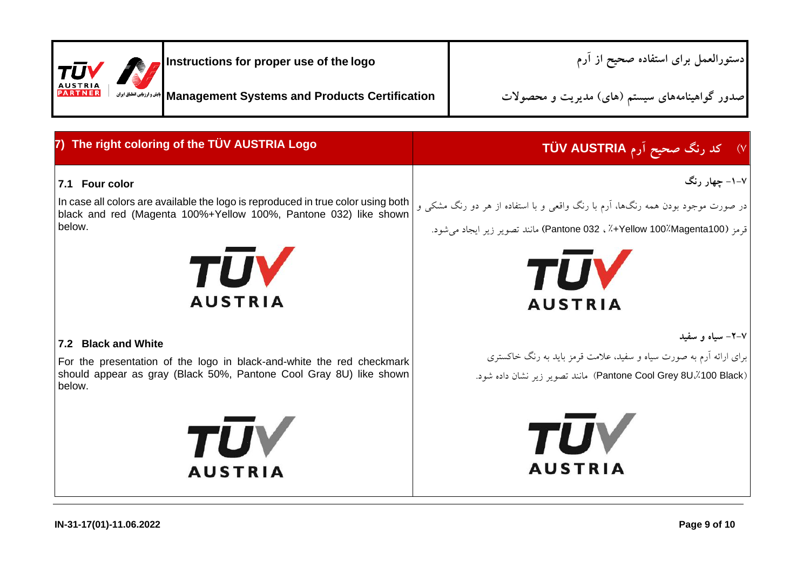| $ \tau\bar{\sigma}\mathsf{V} $<br><b>AUSTRIA</b><br><b>PARTNER</b> |  | <b>A</b> Instructions for proper use of the logo                         | دستورالعمل برای استفاده صحیح از آرم            |
|--------------------------------------------------------------------|--|--------------------------------------------------------------------------|------------------------------------------------|
|                                                                    |  | Management Systems and Products Certification   الجندوارزالي الطلق ايران | صدور گواهینامههای سیستم (های) مدیریت و محصولات |

| 7) The right coloring of the TÜV AUSTRIA Logo                                                                                                                                                  | ۷) کد رنگ صحیح اَرم TÜV AUSTRIA                                                                                                                                                              |
|------------------------------------------------------------------------------------------------------------------------------------------------------------------------------------------------|----------------------------------------------------------------------------------------------------------------------------------------------------------------------------------------------|
| 7.1 Four color<br>In case all colors are available the logo is reproduced in true color using both<br>black and red (Magenta 100%+Yellow 100%, Pantone 032) like shown<br>below.<br><b>TUV</b> | ۷–۱– چهار رنگ<br>در صورت موجود بودن همه رنگها، آرم با رنگ واقعی و با استفاده از هر دو رنگ مشکی و<br>قرمز (Yellow 100%Magenta100+٪ ، Pantone 032) مانند تصوير زير ايجاد مي شود.<br><b>TUV</b> |
| <b>AUSTRIA</b><br>7.2 Black and White<br>For the presentation of the logo in black-and-white the red checkmark<br>should appear as gray (Black 50%, Pantone Cool Gray 8U) like shown<br>below. | <b>AUSTRIA</b><br>۲–۲– سیاه و سفید<br>برای ارائه آرم به صورت سیاه و سفید، علامت قرمز باید به رنگ خاکستری<br>(Pantone Cool Grey 8U./100 Black) مانند تصوير زير نشان داده شود.                 |
| <b>TŪV</b><br><b>AUSTRIA</b>                                                                                                                                                                   | <b>TUV</b><br><b>AUSTRIA</b>                                                                                                                                                                 |